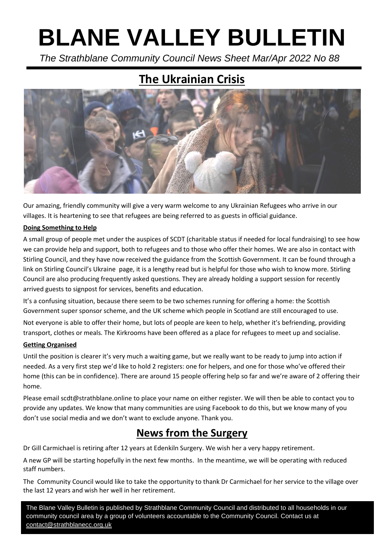# **BLANE VALLEY BULLETIN**

 *The Strathblane Community Council News Sheet Mar/Apr 2022 No 88*

# **The Ukrainian Crisis**



Our amazing, friendly community will give a very warm welcome to any Ukrainian Refugees who arrive in our villages. It is heartening to see that refugees are being referred to as guests in official guidance.

#### **Doing Something to Help**

A small group of people met under the auspices of SCDT (charitable status if needed for local fundraising) to see how we can provide help and support, both to refugees and to those who offer their homes. We are also in contact with Stirling Council, and they have now received the guidance from the Scottish Government. It can be found through a link on Stirling Council's Ukraine page, it is a lengthy read but is helpful for those who wish to know more. Stirling Council are also producing frequently asked questions. They are already holding a support session for recently arrived guests to signpost for services, benefits and education.

It's a confusing situation, because there seem to be two schemes running for offering a home: the Scottish Government super sponsor scheme, and the UK scheme which people in Scotland are still encouraged to use.

Not everyone is able to offer their home, but lots of people are keen to help, whether it's befriending, providing transport, clothes or meals. The Kirkrooms have been offered as a place for refugees to meet up and socialise.

#### **Getting Organised**

Until the position is clearer it's very much a waiting game, but we really want to be ready to jump into action if needed. As a very first step we'd like to hold 2 registers: one for helpers, and one for those who've offered their home (this can be in confidence). There are around 15 people offering help so far and we're aware of 2 offering their home.

Please email scdt@strathblane.online to place your name on either register. We will then be able to contact you to provide any updates. We know that many communities are using Facebook to do this, but we know many of you don't use social media and we don't want to exclude anyone. Thank you.

## **News from the Surgery**

Dr Gill Carmichael is retiring after 12 years at Edenkiln Surgery. We wish her a very happy retirement.

A new GP will be starting hopefully in the next few months. In the meantime, we will be operating with reduced staff numbers.

The Community Council would like to take the opportunity to thank Dr Carmichael for her service to the village over the last 12 years and wish her well in her retirement.

The Blane Valley Bulletin is published by Strathblane Community Council and distributed to all households in our community council area by a group of volunteers accountable to the Community Council. Contact us at [contact@strathblanecc.org.uk](mailto:contact@strathblanecc.org.uk)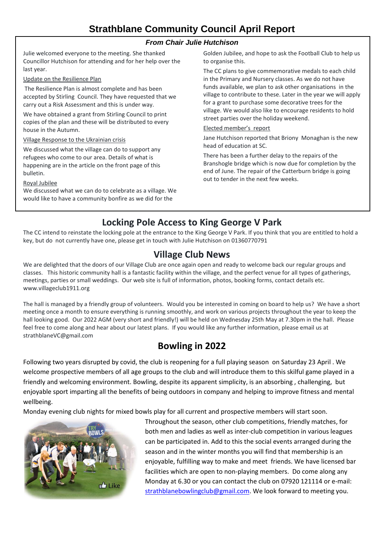#### *From Chair Julie Hutchison*

Julie welcomed everyone to the meeting. She thanked Councillor Hutchison for attending and for her help over the last year.

#### Update on the Resilience Plan

The Resilience Plan is almost complete and has been accepted by Stirling Council. They have requested that we carry out a Risk Assessment and this is under way.

We have obtained a grant from Stirling Council to print copies of the plan and these will be distributed to every house in the Autumn.

#### Village Response to the Ukrainian crisis

We discussed what the village can do to support any refugees who come to our area. Details of what is happening are in the article on the front page of this bulletin.

Royal Jubilee

We discussed what we can do to celebrate as a village. We would like to have a community bonfire as we did for the

Golden Jubilee, and hope to ask the Football Club to help us to organise this.

The CC plans to give commemorative medals to each child in the Primary and Nursery classes. As we do not have funds available, we plan to ask other organisations in the village to contribute to these. Later in the year we will apply for a grant to purchase some decorative trees for the village. We would also like to encourage residents to hold street parties over the holiday weekend.

#### Elected member's report

Jane Hutchison reported that Briony Monaghan is the new head of education at SC.

There has been a further delay to the repairs of the Branshogle bridge which is now due for completion by the end of June. The repair of the Catterburn bridge is going out to tender in the next few weeks.

## **Locking Pole Access to King George V Park**

The CC intend to reinstate the locking pole at the entrance to the King George V Park. If you think that you are entitled to hold a key, but do not currently have one, please get in touch with Julie Hutchison on 01360770791

### **Village Club News**

We are delighted that the doors of our Village Club are once again open and ready to welcome back our regular groups and classes. This historic community hall is a fantastic facility within the village, and the perfect venue for all types of gatherings, meetings, parties or small weddings. Our web site is full of information, photos, booking forms, contact details etc. www.villageclub1911.org

The hall is managed by a friendly group of volunteers. Would you be interested in coming on board to help us? We have a short meeting once a month to ensure everything is running smoothly, and work on various projects throughout the year to keep the hall looking good. Our 2022 AGM (very short and friendly!) will be held on Wednesday 25th May at 7.30pm in the hall. Please feel free to come along and hear about our latest plans. If you would like any further information, please email us at strathblaneVC@gmail.com

## **Bowling in 2022**

Following two years disrupted by covid, the club is reopening for a full playing season on Saturday 23 April . We welcome prospective members of all age groups to the club and will introduce them to this skilful game played in a friendly and welcoming environment. Bowling, despite its apparent simplicity, is an absorbing , challenging, but enjoyable sport imparting all the benefits of being outdoors in company and helping to improve fitness and mental wellbeing.

Monday evening club nights for mixed bowls play for all current and prospective members will start soon.



Throughout the season, other club competitions, friendly matches, for both men and ladies as well as inter-club competition in various leagues can be participated in. Add to this the social events arranged during the season and in the winter months you will find that membership is an enjoyable, fulfilling way to make and meet friends. We have licensed bar facilities which are open to non-playing members. Do come along any Monday at 6.30 or you can contact the club on 07920 121114 or e-mail: [strathblanebowlingclub@gmail.com.](mailto:strathblanebowlingclub@gmail.com) We look forward to meeting you.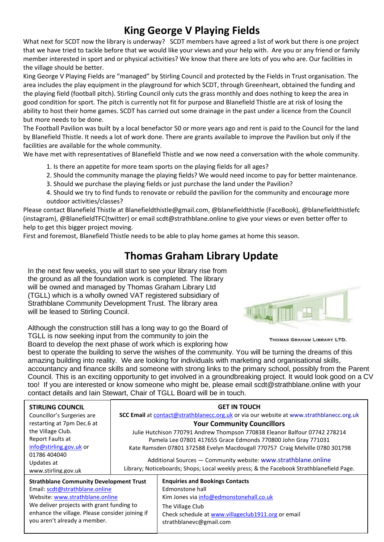# **King George V Playing Fields**

What next for SCDT now the library is underway? SCDT members have agreed a list of work but there is one project that we have tried to tackle before that we would like your views and your help with. Are you or any friend or family member interested in sport and or physical activities? We know that there are lots of you who are. Our facilities in the village should be better.

King George V Playing Fields are "managed" by Stirling Council and protected by the Fields in Trust organisation. The area includes the play equipment in the playground for which SCDT, through Greenheart, obtained the funding and the playing field (football pitch). Stirling Council only cuts the grass monthly and does nothing to keep the area in good condition for sport. The pitch is currently not fit for purpose and Blanefield Thistle are at risk of losing the ability to host their home games. SCDT has carried out some drainage in the past under a licence from the Council but more needs to be done.

The Football Pavilion was built by a local benefactor 50 or more years ago and rent is paid to the Council for the land by Blanefield Thistle. It needs a lot of work done. There are grants available to improve the Pavilion but only if the facilities are available for the whole community.

We have met with representatives of Blanefield Thistle and we now need a conversation with the whole community.

- 1. Is there an appetite for more team sports on the playing fields for all ages?
- 2. Should the community manage the playing fields? We would need income to pay for better maintenance.
- 3. Should we purchase the playing fields or just purchase the land under the Pavilion?
- 4. Should we try to find funds to renovate or rebuild the pavilion for the community and encourage more outdoor activities/classes?

Please contact Blanefield Thistle at Blanefieldthistle@gmail.com, @blanefieldthistle (FaceBook), @blanefieldthistlefc (instagram), @BlanefieldTFC(twitter) or email scdt@strathblane.online to give your views or even better offer to help to get this bigger project moving.

First and foremost, Blanefield Thistle needs to be able to play home games at home this season.

# **Thomas Graham Library Update**

In the next few weeks, you will start to see your library rise from the ground as all the foundation work is completed. The library will be owned and managed by Thomas Graham Library Ltd (TGLL) which is a wholly owned VAT registered subsidiary of Strathblane Community Development Trust. The library area will be leased to Stirling Council.

Although the construction still has a long way to go the Board of TGLL is now seeking input from the community to join the Board to develop the next phase of work which is exploring how



THOMAS GRAHAM LIBRARY LTD.

best to operate the building to serve the wishes of the community. You will be turning the dreams of this amazing building into reality. We are looking for individuals with marketing and organisational skills, accountancy and finance skills and someone with strong links to the primary school, possibly from the Parent Council. This is an exciting opportunity to get involved in a groundbreaking project. It would look good on a CV too! If you are interested or know someone who might be, please email scdt@strathblane.online with your contact details and Iain Stewart, Chair of TGLL Board will be in touch.

| <b>STIRLING COUNCIL</b>                         | <b>GET IN TOUCH</b>                                                                                                                                                                                                                                                                                         |                                                    |
|-------------------------------------------------|-------------------------------------------------------------------------------------------------------------------------------------------------------------------------------------------------------------------------------------------------------------------------------------------------------------|----------------------------------------------------|
| Councillor's Surgeries are                      | <b>SCC Email at contact@strathblanecc.org.uk or via our website at www.strathblanecc.org.uk</b>                                                                                                                                                                                                             |                                                    |
| restarting at 7pm Dec.6 at                      | <b>Your Community Councillors</b>                                                                                                                                                                                                                                                                           |                                                    |
| the Village Club.                               | Julie Hutchison 770791 Andrew Thompson 770838 Eleanor Balfour 07742 278214                                                                                                                                                                                                                                  |                                                    |
| Report Faults at                                | Pamela Lee 07801 417655 Grace Edmonds 770800 John Gray 771031<br>Kate Ramsden 07801 372588 Evelyn Macdougall 770757 Craig Melville 0780 301798<br>Additional Sources - Community website: www.strathblane.online<br>Library; Noticeboards; Shops; Local weekly press; & the Facebook Strathblanefield Page. |                                                    |
| info@stirling.gov.uk or                         |                                                                                                                                                                                                                                                                                                             |                                                    |
| 01786 404040                                    |                                                                                                                                                                                                                                                                                                             |                                                    |
| Updates at                                      |                                                                                                                                                                                                                                                                                                             |                                                    |
| www.stirling.gov.uk                             |                                                                                                                                                                                                                                                                                                             |                                                    |
| <b>Strathblane Community Development Trust</b>  |                                                                                                                                                                                                                                                                                                             | <b>Enquiries and Bookings Contacts</b>             |
| Email: scdt@strathblane.online                  |                                                                                                                                                                                                                                                                                                             | Edmonstone hall                                    |
| Website: www.strathblane.online                 |                                                                                                                                                                                                                                                                                                             | Kim Jones via info@edmonstonehall.co.uk            |
| We deliver projects with grant funding to       |                                                                                                                                                                                                                                                                                                             | The Village Club                                   |
| enhance the village. Please consider joining if |                                                                                                                                                                                                                                                                                                             | Check schedule at www.villageclub1911.org or email |
| you aren't already a member.                    |                                                                                                                                                                                                                                                                                                             | strathblanevc@gmail.com                            |